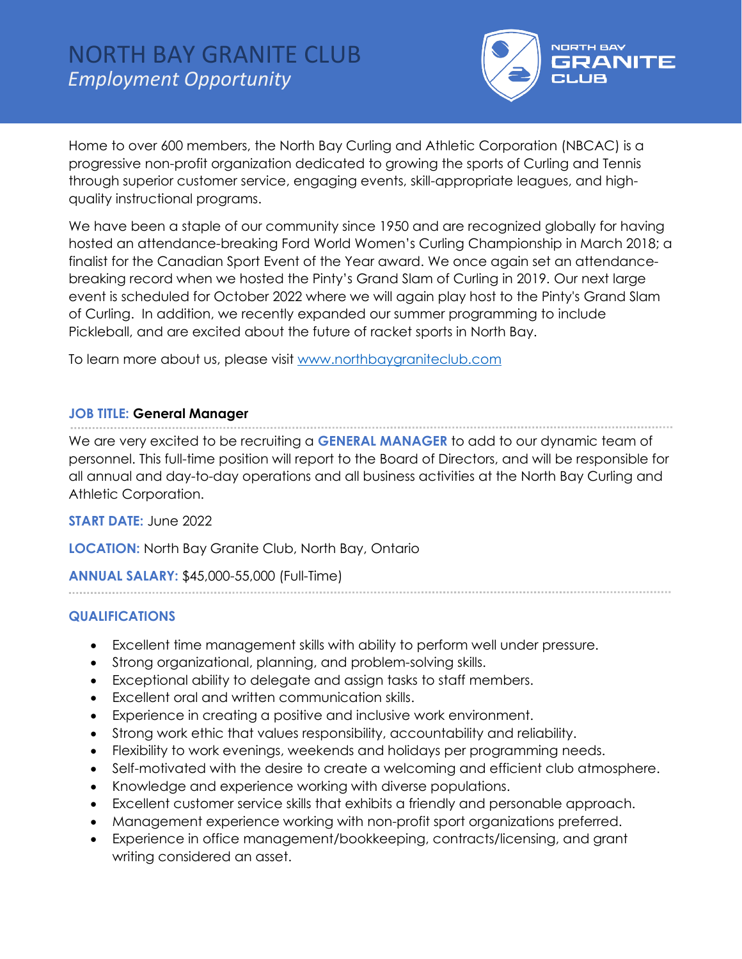

Home to over 600 members, the North Bay Curling and Athletic Corporation (NBCAC) is a progressive non-profit organization dedicated to growing the sports of Curling and Tennis through superior customer service, engaging events, skill-appropriate leagues, and highquality instructional programs.

We have been a staple of our community since 1950 and are recognized globally for having hosted an attendance-breaking Ford World Women's Curling Championship in March 2018; a finalist for the Canadian Sport Event of the Year award. We once again set an attendancebreaking record when we hosted the Pinty's Grand Slam of Curling in 2019. Our next large event is scheduled for October 2022 where we will again play host to the Pinty's Grand Slam of Curling. In addition, we recently expanded our summer programming to include Pickleball, and are excited about the future of racket sports in North Bay.

To learn more about us, please visit [www.northbaygraniteclub.com](http://www.northbaygraniteclub.com/)

### **JOB TITLE: General Manager**

We are very excited to be recruiting a **GENERAL MANAGER** to add to our dynamic team of personnel. This full-time position will report to the Board of Directors, and will be responsible for all annual and day-to-day operations and all business activities at the North Bay Curling and Athletic Corporation.

## **START DATE:** June 2022

**LOCATION:** North Bay Granite Club, North Bay, Ontario

## **ANNUAL SALARY:** \$45,000-55,000 (Full-Time)

## **QUALIFICATIONS**

- Excellent time management skills with ability to perform well under pressure.
- Strong organizational, planning, and problem-solving skills.
- Exceptional ability to delegate and assign tasks to staff members.
- Excellent oral and written communication skills.
- Experience in creating a positive and inclusive work environment.
- Strong work ethic that values responsibility, accountability and reliability.
- Flexibility to work evenings, weekends and holidays per programming needs.
- Self-motivated with the desire to create a welcoming and efficient club atmosphere.
- Knowledge and experience working with diverse populations.
- Excellent customer service skills that exhibits a friendly and personable approach.
- Management experience working with non-profit sport organizations preferred.
- Experience in office management/bookkeeping, contracts/licensing, and grant writing considered an asset.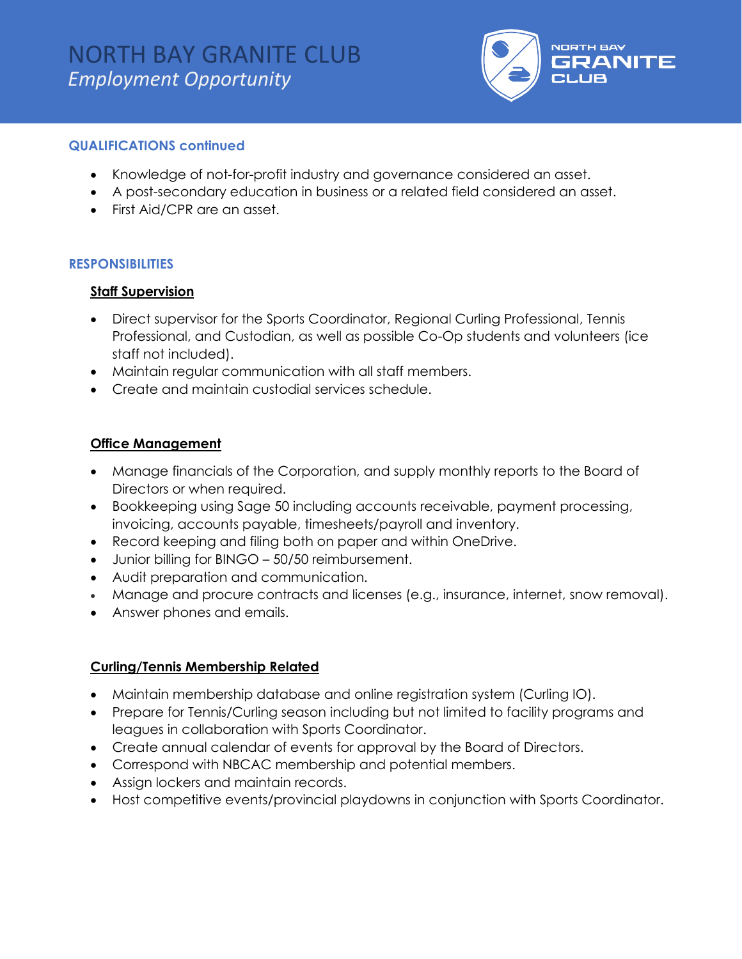

### **QUALIFICATIONS continued**

- Knowledge of not-for-profit industry and governance considered an asset.
- A post-secondary education in business or a related field considered an asset.
- First Aid/CPR are an asset.

### **RESPONSIBILITIES**

#### **Staff Supervision**

- Direct supervisor for the Sports Coordinator, Regional Curling Professional, Tennis Professional, and Custodian, as well as possible Co-Op students and volunteers (ice staff not included).
- Maintain regular communication with all staff members.
- Create and maintain custodial services schedule.

### **Office Management**

- Manage financials of the Corporation, and supply monthly reports to the Board of Directors or when required.
- Bookkeeping using Sage 50 including accounts receivable, payment processing, invoicing, accounts payable, timesheets/payroll and inventory.
- Record keeping and filing both on paper and within OneDrive.
- Junior billing for BINGO 50/50 reimbursement.
- Audit preparation and communication.
- Manage and procure contracts and licenses (e.g., insurance, internet, snow removal).
- Answer phones and emails.

### **Curling/Tennis Membership Related**

- Maintain membership database and online registration system (Curling IO).
- Prepare for Tennis/Curling season including but not limited to facility programs and leagues in collaboration with Sports Coordinator.
- Create annual calendar of events for approval by the Board of Directors.
- Correspond with NBCAC membership and potential members.
- Assign lockers and maintain records.
- Host competitive events/provincial playdowns in conjunction with Sports Coordinator.